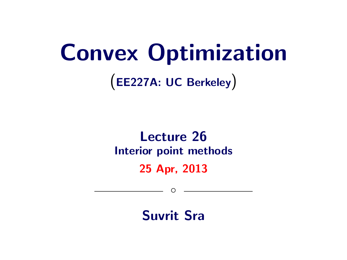# Convex Optimization

(EE227A: UC Berkeley)

# Lecture 26 Interior point methods

25 Apr, 2013

 $\circ$ 

Suvrit Sra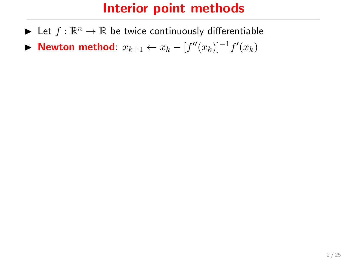- $\blacktriangleright$  Let  $f : \mathbb{R}^n \to \mathbb{R}$  be twice continuously differentiable
- ► Newton method:  $x_{k+1} \leftarrow x_k [f''(x_k)]^{-1} f'(x_k)$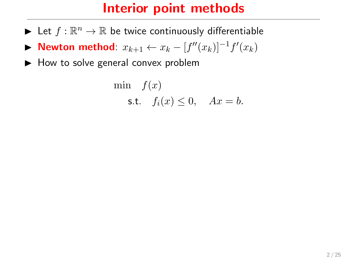- $\blacktriangleright$  Let  $f : \mathbb{R}^n \to \mathbb{R}$  be twice continuously differentiable
- ► Newton method:  $x_{k+1} \leftarrow x_k [f''(x_k)]^{-1} f'(x_k)$
- $\blacktriangleright$  How to solve general convex problem

$$
\min f(x)
$$
  
s.t.  $f_i(x) \le 0$ ,  $Ax = b$ .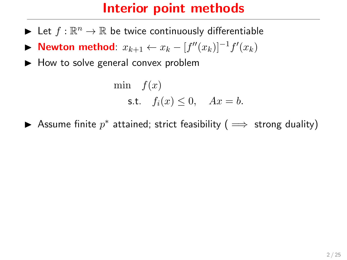- $\blacktriangleright$  Let  $f : \mathbb{R}^n \to \mathbb{R}$  be twice continuously differentiable
- ► Newton method:  $x_{k+1} \leftarrow x_k [f''(x_k)]^{-1} f'(x_k)$
- $\blacktriangleright$  How to solve general convex problem

$$
\min f(x)
$$
  
s.t.  $f_i(x) \le 0$ ,  $Ax = b$ .

▶ Assume finite  $p^*$  attained; strict feasibility (  $\Longrightarrow$  strong duality)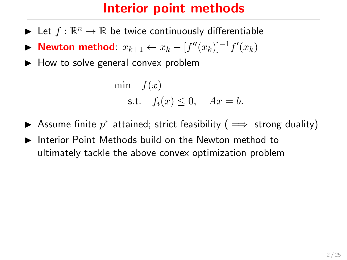- $\blacktriangleright$  Let  $f : \mathbb{R}^n \to \mathbb{R}$  be twice continuously differentiable
- ► Newton method:  $x_{k+1} \leftarrow x_k [f''(x_k)]^{-1} f'(x_k)$
- $\blacktriangleright$  How to solve general convex problem

$$
\min f(x)
$$
  
s.t.  $f_i(x) \le 0$ ,  $Ax = b$ .

- ▶ Assume finite  $p^*$  attained; strict feasibility (  $\Longrightarrow$  strong duality)
- $\blacktriangleright$  Interior Point Methods build on the Newton method to ultimately tackle the above convex optimization problem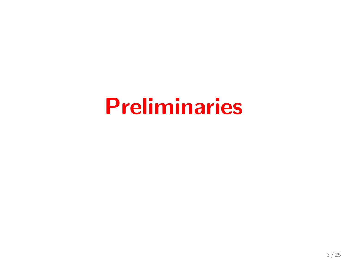# **Preliminaries**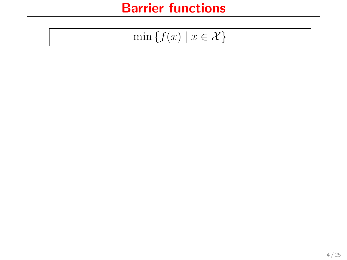$$
\min\{f(x) \mid x \in \mathcal{X}\}\
$$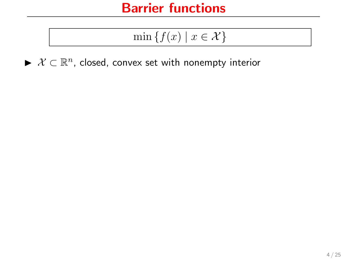$$
\min\left\{f(x) \mid x \in \mathcal{X}\right\}
$$

 $\blacktriangleright$   $\mathcal{X} \subset \mathbb{R}^n$ , closed, convex set with nonempty interior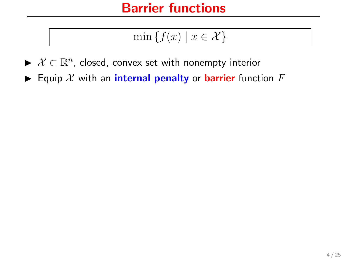$$
\min\left\{f(x) \mid x \in \mathcal{X}\right\}
$$

- $\blacktriangleright$   $\mathcal{X} \subset \mathbb{R}^n$ , closed, convex set with nonempty interior
- $\blacktriangleright$  Equip X with an internal penalty or barrier function F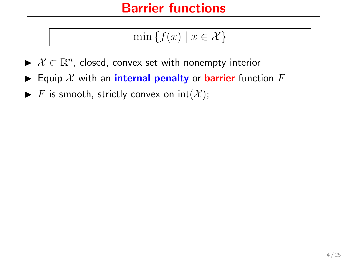# $\min \{f(x) \mid x \in \mathcal{X}\}\$

- $\blacktriangleright$   $\mathcal{X} \subset \mathbb{R}^n$ , closed, convex set with nonempty interior
- $\blacktriangleright$  Equip X with an internal penalty or barrier function F
- $\blacktriangleright$  F is smooth, strictly convex on  $int(\mathcal{X})$ ;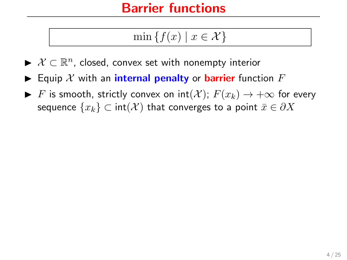$$
\min\left\{f(x) \mid x \in \mathcal{X}\right\}
$$

- $\blacktriangleright$   $\mathcal{X} \subset \mathbb{R}^n$ , closed, convex set with nonempty interior
- $\blacktriangleright$  Equip X with an internal penalty or barrier function F
- ▶ F is smooth, strictly convex on  $int(\mathcal{X})$ ;  $F(x_k) \rightarrow +\infty$  for every sequence  $\{x_k\} \subset \text{int}(\mathcal{X})$  that converges to a point  $\bar{x} \in \partial X$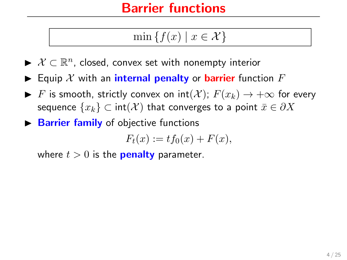$$
\min\left\{f(x) \mid x \in \mathcal{X}\right\}
$$

- $\blacktriangleright$   $\mathcal{X} \subset \mathbb{R}^n$ , closed, convex set with nonempty interior
- $\blacktriangleright$  Equip X with an internal penalty or barrier function F
- $\blacktriangleright$  F is smooth, strictly convex on  $\text{int}(\mathcal{X})$ ;  $F(x_k) \to +\infty$  for every sequence  $\{x_k\} \subset \text{int}(\mathcal{X})$  that converges to a point  $\bar{x} \in \partial X$
- $\triangleright$  **Barrier family** of objective functions

 $F_t(x) := t f_0(x) + F(x),$ 

where  $t > 0$  is the **penalty** parameter.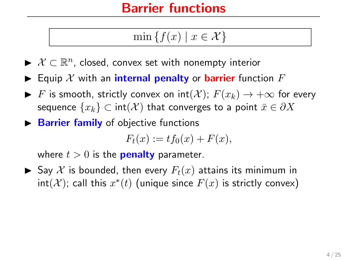$$
\min\left\{f(x) \mid x \in \mathcal{X}\right\}
$$

- $\blacktriangleright$   $\mathcal{X} \subset \mathbb{R}^n$ , closed, convex set with nonempty interior
- $\blacktriangleright$  Equip X with an internal penalty or barrier function F
- $\blacktriangleright$  F is smooth, strictly convex on  $\text{int}(\mathcal{X})$ ;  $F(x_k) \to +\infty$  for every sequence  $\{x_k\} \subset \text{int}(\mathcal{X})$  that converges to a point  $\bar{x} \in \partial X$
- $\triangleright$  **Barrier family** of objective functions

$$
F_t(x) := tf_0(x) + F(x),
$$

where  $t > 0$  is the **penalty** parameter.

 $\blacktriangleright$  Say X is bounded, then every  $F_t(x)$  attains its minimum in  $int(X)$ ; call this  $x^*(t)$  (unique since  $F(x)$  is strictly convex)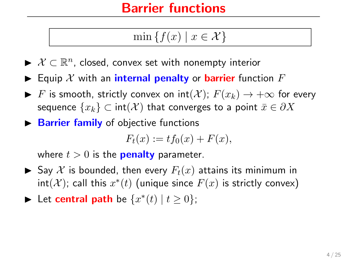$$
\min\left\{f(x) \mid x \in \mathcal{X}\right\}
$$

- $\blacktriangleright$   $\mathcal{X} \subset \mathbb{R}^n$ , closed, convex set with nonempty interior
- $\blacktriangleright$  Equip X with an internal penalty or barrier function F
- $\blacktriangleright$  F is smooth, strictly convex on  $\text{int}(\mathcal{X})$ ;  $F(x_k) \to +\infty$  for every sequence  $\{x_k\} \subset \text{int}(\mathcal{X})$  that converges to a point  $\bar{x} \in \partial X$
- $\triangleright$  **Barrier family** of objective functions

$$
F_t(x) := tf_0(x) + F(x),
$$

where  $t > 0$  is the **penalty** parameter.

- $\triangleright$  Say X is bounded, then every  $F_t(x)$  attains its minimum in  $int(X)$ ; call this  $x^*(t)$  (unique since  $F(x)$  is strictly convex)
- ► Let central path be  $\{x^*(t) | t \geq 0\}$ ;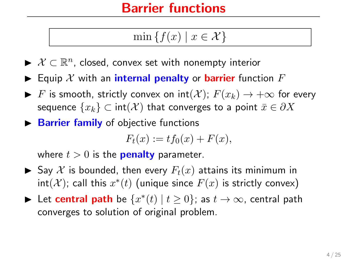$$
\min\left\{f(x) \mid x \in \mathcal{X}\right\}
$$

- $\blacktriangleright$   $\mathcal{X} \subset \mathbb{R}^n$ , closed, convex set with nonempty interior
- $\blacktriangleright$  Equip X with an internal penalty or barrier function F
- $\blacktriangleright$  F is smooth, strictly convex on  $\text{int}(\mathcal{X})$ ;  $F(x_k) \to +\infty$  for every sequence  $\{x_k\} \subset \text{int}(\mathcal{X})$  that converges to a point  $\bar{x} \in \partial X$
- $\triangleright$  **Barrier family** of objective functions

$$
F_t(x) := tf_0(x) + F(x),
$$

where  $t > 0$  is the **penalty** parameter.

- $\triangleright$  Say X is bounded, then every  $F_t(x)$  attains its minimum in  $int(X)$ ; call this  $x^*(t)$  (unique since  $F(x)$  is strictly convex)
- ► Let central path be  $\{x^*(t) | t \geq 0\}$ ; as  $t \to \infty$ , central path converges to solution of original problem.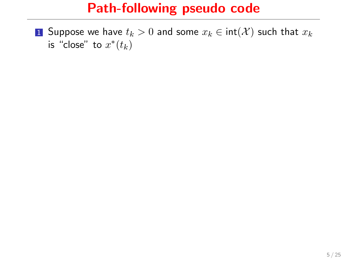1 Suppose we have  $t_k > 0$  and some  $x_k \in \text{int}(\mathcal{X})$  such that  $x_k$ is "close" to  $x^*(t_k)$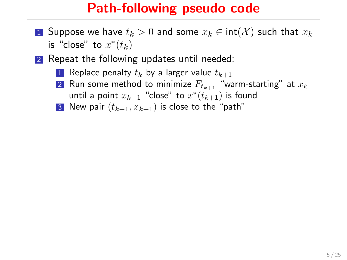- 1 Suppose we have  $t_k > 0$  and some  $x_k \in \text{int}(\mathcal{X})$  such that  $x_k$ is "close" to  $x^*(t_k)$
- 2 Repeat the following updates until needed:
	- 1 Replace penalty  $t_k$  by a larger value  $t_{k+1}$
	- 2 Run some method to minimize  $F_{t_{k+1}}$  "warm-starting" at  $x_k$ until a point  $x_{k+1}$  "close" to  $x^*(t_{k+1})$  is found
	- 3 New pair  $(t_{k+1}, x_{k+1})$  is close to the "path"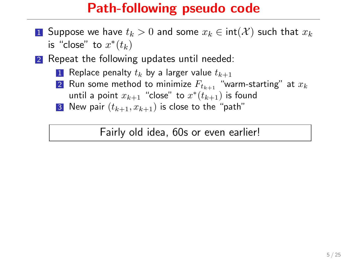- 1 Suppose we have  $t_k > 0$  and some  $x_k \in \text{int}(\mathcal{X})$  such that  $x_k$ is "close" to  $x^*(t_k)$
- 2 Repeat the following updates until needed:
	- 1 Replace penalty  $t_k$  by a larger value  $t_{k+1}$
	- 2 Run some method to minimize  $F_{t_{k+1}}$  "warm-starting" at  $x_k$ until a point  $x_{k+1}$  "close" to  $x^*(t_{k+1})$  is found
	- **3** New pair  $(t_{k+1}, x_{k+1})$  is close to the "path"

Fairly old idea, 60s or even earlier!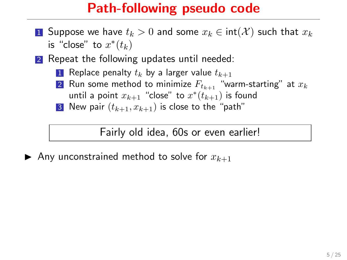- 1 Suppose we have  $t_k > 0$  and some  $x_k \in \text{int}(\mathcal{X})$  such that  $x_k$ is "close" to  $x^*(t_k)$
- 2 Repeat the following updates until needed:
	- 1 Replace penalty  $t_k$  by a larger value  $t_{k+1}$
	- 2 Run some method to minimize  $F_{t_{k+1}}$  "warm-starting" at  $x_k$ until a point  $x_{k+1}$  "close" to  $x^*(t_{k+1})$  is found
	- **3** New pair  $(t_{k+1}, x_{k+1})$  is close to the "path"

Fairly old idea, 60s or even earlier!

Any unconstrained method to solve for  $x_{k+1}$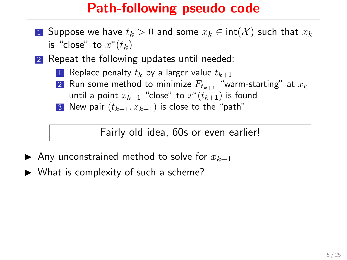- 1 Suppose we have  $t_k > 0$  and some  $x_k \in \text{int}(\mathcal{X})$  such that  $x_k$ is "close" to  $x^*(t_k)$
- 2 Repeat the following updates until needed:
	- 1 Replace penalty  $t_k$  by a larger value  $t_{k+1}$
	- 2 Run some method to minimize  $F_{t_{k+1}}$  "warm-starting" at  $x_k$ until a point  $x_{k+1}$  "close" to  $x^*(t_{k+1})$  is found
	- **3** New pair  $(t_{k+1}, x_{k+1})$  is close to the "path"

#### Fairly old idea, 60s or even earlier!

- Any unconstrained method to solve for  $x_{k+1}$
- $\triangleright$  What is complexity of such a scheme?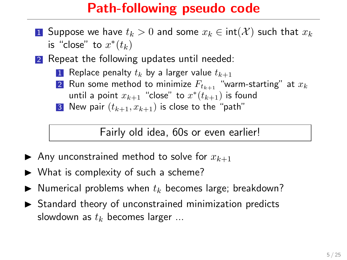- 1 Suppose we have  $t_k > 0$  and some  $x_k \in \text{int}(\mathcal{X})$  such that  $x_k$ is "close" to  $x^*(t_k)$
- 2 Repeat the following updates until needed:
	- 1 Replace penalty  $t_k$  by a larger value  $t_{k+1}$
	- 2 Run some method to minimize  $F_{t_{k+1}}$  "warm-starting" at  $x_k$ until a point  $x_{k+1}$  "close" to  $x^*(t_{k+1})$  is found
	- **3** New pair  $(t_{k+1}, x_{k+1})$  is close to the "path"

#### Fairly old idea, 60s or even earlier!

- Any unconstrained method to solve for  $x_{k+1}$
- $\triangleright$  What is complexity of such a scheme?
- $\blacktriangleright$  Numerical problems when  $t_k$  becomes large; breakdown?
- $\triangleright$  Standard theory of unconstrained minimization predicts slowdown as  $t_k$  becomes larger ...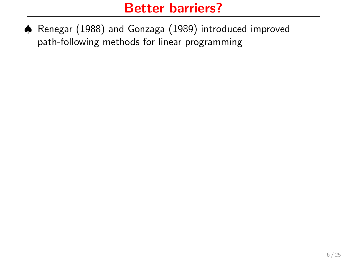♠ Renegar (1988) and Gonzaga (1989) introduced improved path-following methods for linear programming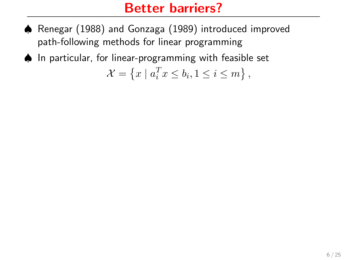- ♠ Renegar (1988) and Gonzaga (1989) introduced improved path-following methods for linear programming
- ♠ In particular, for linear-programming with feasible set

$$
\mathcal{X} = \left\{ x \mid a_i^T x \le b_i, 1 \le i \le m \right\},\
$$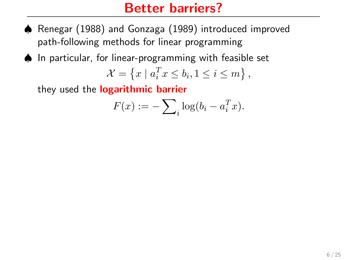- ♠ Renegar (1988) and Gonzaga (1989) introduced improved path-following methods for linear programming
- ♠ In particular, for linear-programming with feasible set

$$
\mathcal{X} = \left\{ x \mid a_i^T x \le b_i, 1 \le i \le m \right\},\
$$

they used the **logarithmic barrier** 

$$
F(x) := -\sum_{i} \log(b_i - a_i^T x).
$$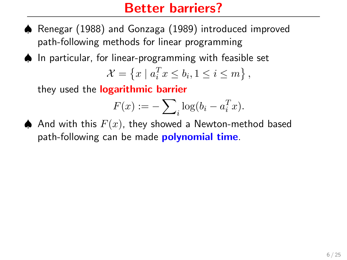- ♠ Renegar (1988) and Gonzaga (1989) introduced improved path-following methods for linear programming
- ♠ In particular, for linear-programming with feasible set

$$
\mathcal{X} = \left\{ x \mid a_i^T x \le b_i, 1 \le i \le m \right\},\
$$

they used the **logarithmic barrier** 

$$
F(x) := -\sum_{i} \log(b_i - a_i^T x).
$$

♦ And with this  $F(x)$ , they showed a Newton-method based path-following can be made **polynomial time**.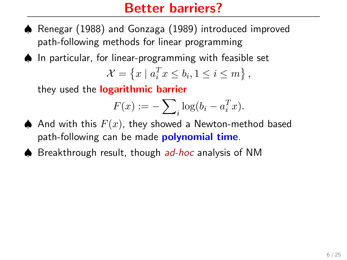- ♠ Renegar (1988) and Gonzaga (1989) introduced improved path-following methods for linear programming
- ♠ In particular, for linear-programming with feasible set

$$
\mathcal{X} = \left\{ x \mid a_i^T x \le b_i, 1 \le i \le m \right\},\
$$

they used the **logarithmic barrier** 

$$
F(x) := -\sum_{i} \log(b_i - a_i^T x).
$$

- ♦ And with this  $F(x)$ , they showed a Newton-method based path-following can be made **polynomial time**.
- ♦ Breakthrough result, though ad-hoc analysis of NM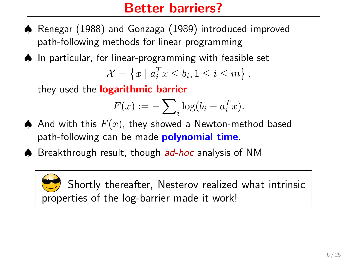- ♠ Renegar (1988) and Gonzaga (1989) introduced improved path-following methods for linear programming
- ♠ In particular, for linear-programming with feasible set

$$
\mathcal{X} = \left\{ x \mid a_i^T x \le b_i, 1 \le i \le m \right\},\
$$

they used the **logarithmic barrier** 

$$
F(x) := -\sum_{i} \log(b_i - a_i^T x).
$$

- ♦ And with this  $F(x)$ , they showed a Newton-method based path-following can be made **polynomial time**.
- ♦ Breakthrough result, though ad-hoc analysis of NM

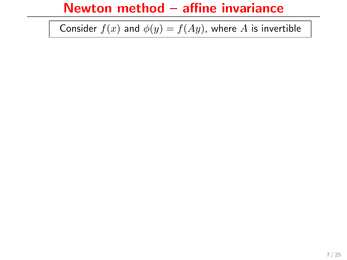## Newton method – affine invariance

Consider  $f(x)$  and  $\phi(y) = f(Ay)$ , where A is invertible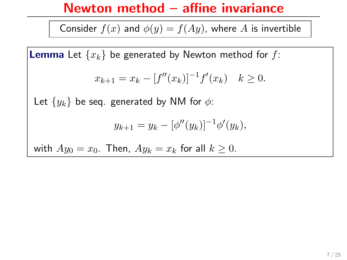#### Newton method – affine invariance

Consider  $f(x)$  and  $\phi(y) = f(Ay)$ , where A is invertible

**Lemma** Let  $\{x_k\}$  be generated by Newton method for f:  $x_{k+1} = x_k - [f''(x_k)]^{-1} f'(x_k) \quad k \ge 0.$ Let  $\{y_k\}$  be seq. generated by NM for  $\phi$ :  $y_{k+1} = y_k - [\phi''(y_k)]^{-1} \phi'(y_k),$ with  $Ay_0 = x_0$ . Then,  $Ay_k = x_k$  for all  $k \geq 0$ .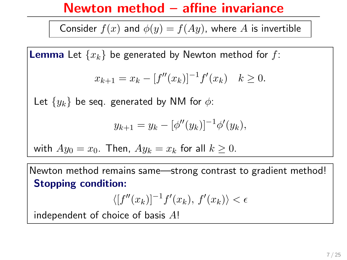## Newton method – affine invariance

Consider  $f(x)$  and  $\phi(y) = f(Ay)$ , where A is invertible

**Lemma** Let  $\{x_k\}$  be generated by Newton method for  $f$ :

$$
x_{k+1} = x_k - [f''(x_k)]^{-1} f'(x_k) \quad k \ge 0.
$$

Let  $\{y_k\}$  be seq. generated by NM for  $\phi$ :

$$
y_{k+1} = y_k - [\phi''(y_k)]^{-1} \phi'(y_k),
$$

with 
$$
Ay_0 = x_0
$$
. Then,  $Ay_k = x_k$  for all  $k \ge 0$ .

Newton method remains same—strong contrast to gradient method! Stopping condition:

$$
\langle [f''(x_k)]^{-1} f'(x_k), f'(x_k) \rangle < \epsilon
$$

independent of choice of basis A!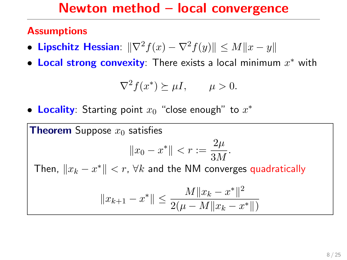#### Newton method – local convergence

#### **Assumptions**

- Lipschitz Hessian:  $\|\nabla^2 f(x) \nabla^2 f(y)\| \le M\|x y\|$
- Local strong convexity: There exists a local minimum  $x^*$  with

$$
\nabla^2 f(x^*) \succeq \mu I, \qquad \mu > 0.
$$

• Locality: Starting point  $x_0$  "close enough" to  $x^*$ 

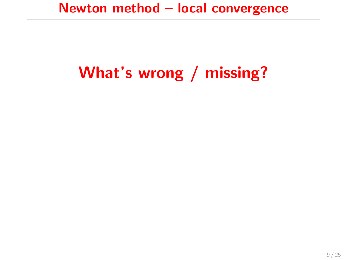## Newton method – local convergence

# What's wrong / missing?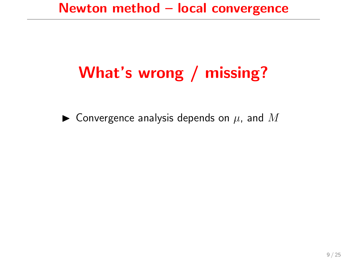# What's wrong / missing?

 $\blacktriangleright$  Convergence analysis depends on  $\mu$ , and  $M$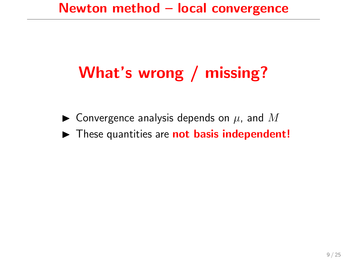# What's wrong / missing?

- $\blacktriangleright$  Convergence analysis depends on  $\mu$ , and  $M$
- $\blacktriangleright$  These quantities are not basis independent!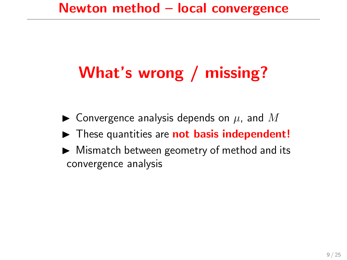# What's wrong / missing?

- $\blacktriangleright$  Convergence analysis depends on  $\mu$ , and  $M$
- $\blacktriangleright$  These quantities are not basis independent!
- $\blacktriangleright$  Mismatch between geometry of method and its convergence analysis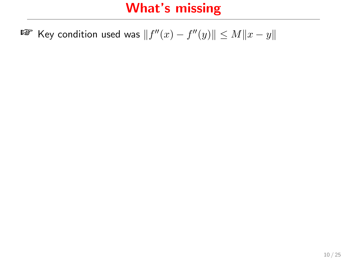## What's missing

⊮ङ $\mathbb{R}$  Key condition used was  $\|f''(x) - f''(y)\| \leq M \|x - y\|$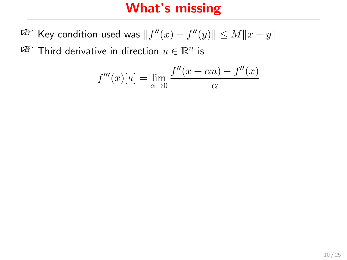- ⊮ङ $\mathbb{R}$  Key condition used was  $\|f''(x) f''(y)\| \leq M \|x y\|$
- ¤ Third derivative in direction  $u\in\mathbb{R}^n$  is

$$
f'''(x)[u] = \lim_{\alpha \to 0} \frac{f''(x + \alpha u) - f''(x)}{\alpha}
$$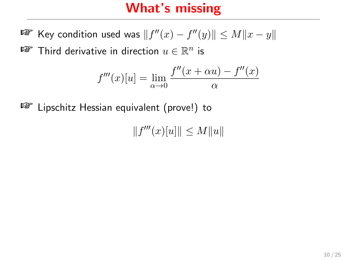- ⊮ङ $\mathbb{R}$  Key condition used was  $\|f''(x) f''(y)\| \leq M \|x y\|$
- ¤ Third derivative in direction  $u\in\mathbb{R}^n$  is

$$
f'''(x)[u] = \lim_{\alpha \to 0} \frac{f''(x + \alpha u) - f''(x)}{\alpha}
$$

<sup>☞</sup> Lipschitz Hessian equivalent (prove!) to

 $||f'''(x)[u]|| \le M||u||$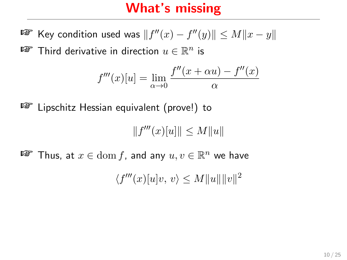- ⊮ङ $\mathbb{R}$  Key condition used was  $\|f''(x) f''(y)\| \leq M \|x y\|$
- ¤ Third derivative in direction  $u\in\mathbb{R}^n$  is

$$
f'''(x)[u] = \lim_{\alpha \to 0} \frac{f''(x + \alpha u) - f''(x)}{\alpha}
$$

<sup>☞</sup> Lipschitz Hessian equivalent (prove!) to

 $||f'''(x)[u]|| \le M||u||$ 

⊮े $F$  Thus, at  $x\in \text{dom}\, f$ , and any  $u,v\in \mathbb{R}^n$  we have

 $\langle f'''(x)[u]v, v \rangle \leq M ||u|| ||v||^2$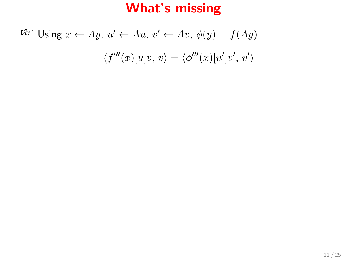$$
\text{ using } x \leftarrow Ay, \ u' \leftarrow Au, \ v' \leftarrow Av, \ \phi(y) = f(Ay)
$$
\n
$$
\langle f'''(x)[u]v, \ v \rangle = \langle \phi'''(x)[u']v', \ v' \rangle
$$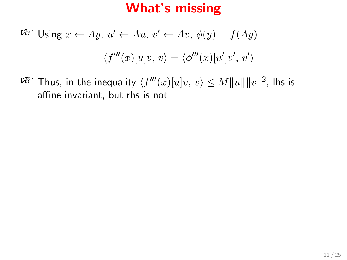$\mathbb{P}$  Using  $x \leftarrow Ay$ ,  $u' \leftarrow Au$ ,  $v' \leftarrow Av$ ,  $\phi(y) = f(Ay)$  $\langle f'''(x)[u]v, v \rangle = \langle \phi'''(x)[u']v', v' \rangle$ 

 $\mathbb{P}$  Thus, in the inequality  $\langle f'''(x)[u]v,\, v\rangle\leq M\|u\|\|v\|^2$ , lhs is affine invariant, but rhs is not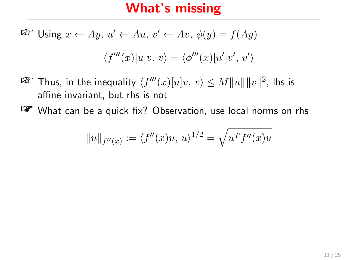$\mathbb{F}$  Using  $x \leftarrow Ay$ ,  $u' \leftarrow Au$ ,  $v' \leftarrow Av$ ,  $\phi(y) = f(Ay)$  $\langle f'''(x)[u]v, v \rangle = \langle \phi'''(x)[u']v', v' \rangle$ 

- $\mathbb{P}$  Thus, in the inequality  $\langle f'''(x)[u]v,\, v\rangle\leq M\|u\|\|v\|^2$ , lhs is affine invariant, but rhs is not
- $\mathbb{F}$  What can be a quick fix? Observation, use local norms on rhs

$$
||u||_{f''(x)} := \langle f''(x)u, u \rangle^{1/2} = \sqrt{u^T f''(x)u}
$$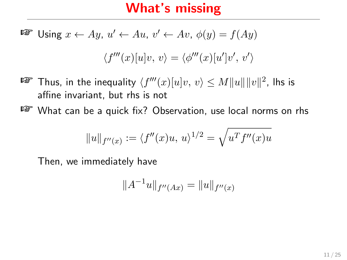$\mathbb{F}$  Using  $x \leftarrow Ay$ ,  $u' \leftarrow Au$ ,  $v' \leftarrow Av$ ,  $\phi(y) = f(Ay)$  $\langle f'''(x)[u]v, v \rangle = \langle \phi'''(x)[u']v', v' \rangle$ 

- $\mathbb{P}$  Thus, in the inequality  $\langle f'''(x)[u]v,\, v\rangle\leq M\|u\|\|v\|^2$ , lhs is affine invariant, but rhs is not
- $\mathbb{F}$  What can be a quick fix? Observation, use local norms on rhs

$$
||u||_{f''(x)} := \langle f''(x)u, u \rangle^{1/2} = \sqrt{u^T f''(x)u}
$$

Then, we immediately have

$$
||A^{-1}u||_{f''(Ax)} = ||u||_{f''(x)}
$$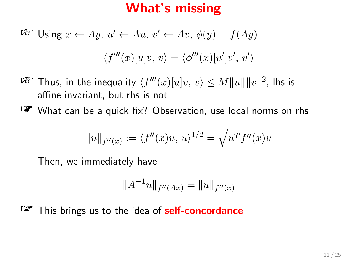$\mathbb{F}$  Using  $x \leftarrow Ay$ ,  $u' \leftarrow Au$ ,  $v' \leftarrow Av$ ,  $\phi(y) = f(Ay)$  $\langle f'''(x)[u]v, v \rangle = \langle \phi'''(x)[u']v', v' \rangle$ 

- $\mathbb{P}$  Thus, in the inequality  $\langle f'''(x)[u]v,\, v\rangle\leq M\|u\|\|v\|^2$ , lhs is affine invariant, but rhs is not
- $\mathbb{F}$  What can be a quick fix? Observation, use local norms on rhs

$$
||u||_{f''(x)} := \langle f''(x)u, u \rangle^{1/2} = \sqrt{u^T f''(x)u}
$$

Then, we immediately have

$$
||A^{-1}u||_{f''(Ax)} = ||u||_{f''(x)}
$$

rs. This brings us to the idea of **self-concordance**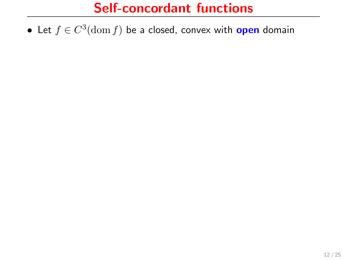• Let  $f \in C^3(\text{dom } f)$  be a closed, convex with open domain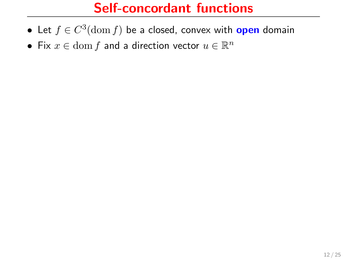- Let  $f \in C^3(\text{dom } f)$  be a closed, convex with open domain
- Fix  $x \in \text{dom } f$  and a direction vector  $u \in \mathbb{R}^n$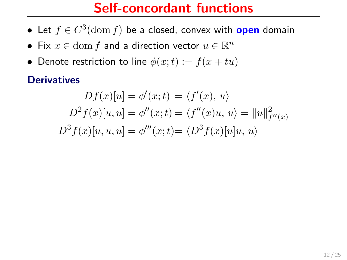- Let  $f \in C^3(\text{dom } f)$  be a closed, convex with open domain
- Fix  $x \in \text{dom } f$  and a direction vector  $u \in \mathbb{R}^n$
- Denote restriction to line  $\phi(x;t) := f(x+tu)$

### **Derivatives**

$$
Df(x)[u] = \phi'(x;t) = \langle f'(x), u \rangle
$$
  

$$
D^2f(x)[u, u] = \phi''(x;t) = \langle f''(x)u, u \rangle = ||u||_{f''(x)}^2
$$
  

$$
D^3f(x)[u, u, u] = \phi'''(x;t) = \langle D^3f(x)[u]u, u \rangle
$$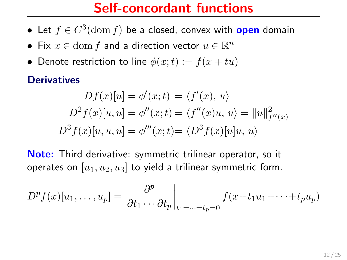- Let  $f \in C^3(\text{dom } f)$  be a closed, convex with open domain
- Fix  $x \in \text{dom } f$  and a direction vector  $u \in \mathbb{R}^n$
- Denote restriction to line  $\phi(x;t) := f(x+tu)$

### **Derivatives**

$$
Df(x)[u] = \phi'(x; t) = \langle f'(x), u \rangle
$$
  

$$
D^{2}f(x)[u, u] = \phi''(x; t) = \langle f''(x)u, u \rangle = ||u||_{f''(x)}^{2}
$$
  

$$
D^{3}f(x)[u, u, u] = \phi'''(x; t) = \langle D^{3}f(x)[u]u, u \rangle
$$

Note: Third derivative: symmetric trilinear operator, so it operates on  $[u_1, u_2, u_3]$  to yield a trilinear symmetric form.

$$
D^{p} f(x)[u_1,\ldots,u_p] = \left. \frac{\partial^{p}}{\partial t_1 \cdots \partial t_p} \right|_{t_1=\cdots=t_p=0} f(x+t_1u_1+\cdots+t_pu_p)
$$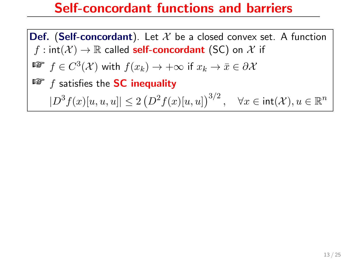# Self-concordant functions and barriers

**Def.** (Self-concordant). Let  $X$  be a closed convex set. A function  $f : \text{int}(\mathcal{X}) \to \mathbb{R}$  called **self-concordant** (SC) on  $\mathcal{X}$  if **F**  $f \in C^3(\mathcal{X})$  with  $f(x_k) \to +\infty$  if  $x_k \to \bar{x} \in \partial \mathcal{X}$  $\begin{aligned} \mathbb{F} & \quad \text{if } f \text{ satisfies the } \textbf{SC} \text{ inequality} \end{aligned}$  $|D^3 f(x)[u, u, u]| \leq 2 (D^2 f(x)[u, u])^{3/2}, \quad \forall x \in \text{int}(\mathcal{X}), u \in \mathbb{R}^n$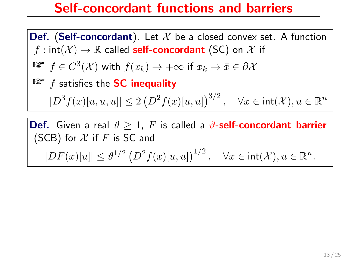# Self-concordant functions and barriers

**Def.** (Self-concordant). Let  $X$  be a closed convex set. A function  $f : \text{int}(\mathcal{X}) \to \mathbb{R}$  called **self-concordant** (SC) on  $\mathcal{X}$  if **F**  $f \in C^3(\mathcal{X})$  with  $f(x_k) \to +\infty$  if  $x_k \to \bar{x} \in \partial \mathcal{X}$  $\begin{aligned} \mathbb{F} & \quad \text{if } f \text{ satisfies the } \textbf{SC} \text{ inequality} \end{aligned}$  $|D^3 f(x)[u, u, u]| \leq 2 (D^2 f(x)[u, u])^{3/2}, \quad \forall x \in \text{int}(\mathcal{X}), u \in \mathbb{R}^n$ 

**Def.** Given a real  $\vartheta > 1$ , F is called a  $\vartheta$ -self-concordant barrier (SCB) for  $X$  if  $F$  is SC and

 $|DF(x)[u]| \leq \vartheta^{1/2} \left( D^2f(x)[u,u] \right)^{1/2}, \quad \forall x \in \text{int}(\mathcal{X}), u \in \mathbb{R}^n.$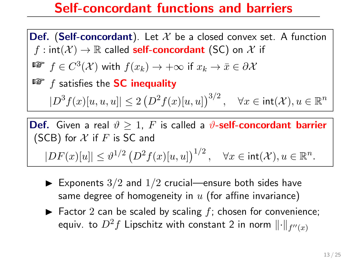# Self-concordant functions and barriers

**Def.** (Self-concordant). Let  $X$  be a closed convex set. A function  $f : \text{int}(\mathcal{X}) \to \mathbb{R}$  called **self-concordant** (SC) on  $\mathcal{X}$  if **F**  $f \in C^3(\mathcal{X})$  with  $f(x_k) \to +\infty$  if  $x_k \to \bar{x} \in \partial \mathcal{X}$  $\begin{aligned} \mathbb{F} & \quad \text{if } f \text{ satisfies the } \textbf{SC} \text{ inequality} \end{aligned}$  $|D^3 f(x)[u, u, u]| \leq 2 (D^2 f(x)[u, u])^{3/2}, \quad \forall x \in \text{int}(\mathcal{X}), u \in \mathbb{R}^n$ **Def.** Given a real  $\vartheta > 1$ , F is called a  $\vartheta$ -self-concordant barrier (SCB) for  $X$  if  $F$  is SC and  $|DF(x)[u]| \leq \vartheta^{1/2} \left( D^2f(x)[u,u] \right)^{1/2}, \quad \forall x \in \text{int}(\mathcal{X}), u \in \mathbb{R}^n.$ 

- $\blacktriangleright$  Exponents  $3/2$  and  $1/2$  crucial—ensure both sides have same degree of homogeneity in  $u$  (for affine invariance)
- $\blacktriangleright$  Factor 2 can be scaled by scaling f; chosen for convenience; equiv. to  $D^2f$  Lipschitz with constant 2 in norm  $\lVert \cdot \rVert_{f^{\prime \prime}(x)}$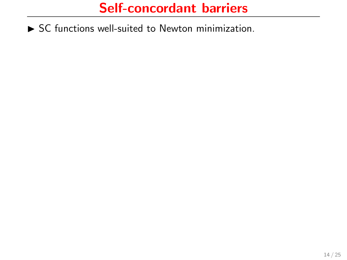$\triangleright$  SC functions well-suited to Newton minimization.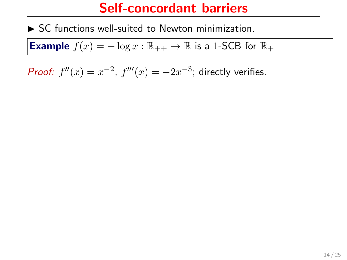$\triangleright$  SC functions well-suited to Newton minimization.

**Example**  $f(x) = -\log x : \mathbb{R}_{++} \to \mathbb{R}$  is a 1-SCB for  $\mathbb{R}_+$ 

*Proof:*  $f''(x) = x^{-2}$ ,  $f'''(x) = -2x^{-3}$ ; directly verifies.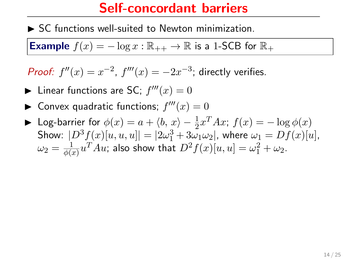$\triangleright$  SC functions well-suited to Newton minimization.

**Example**  $f(x) = -\log x : \mathbb{R}_{++} \to \mathbb{R}$  is a 1-SCB for  $\mathbb{R}_+$ 

*Proof:*  $f''(x) = x^{-2}$ ,  $f'''(x) = -2x^{-3}$ ; directly verifies.

- inear functions are SC;  $f'''(x) = 0$
- $\blacktriangleright$  Convex quadratic functions;  $f'''(x) = 0$
- ► Log-barrier for  $\phi(x) = a + \langle b, x \rangle \frac{1}{2}x^T Ax$ ;  $f(x) = -\log \phi(x)$ Show:  $|D^3 f(x)[u,u,u]| = |2\omega_1^3 + 3\omega_1\omega_2|$ , where  $\omega_1 = Df(x)[u],$  $\omega_2=\frac{1}{\phi(c)}$  $\frac{1}{\phi(x)}u^TAu$ ; also show that  $D^2f(x)[u,u]=\omega_1^2+\omega_2.$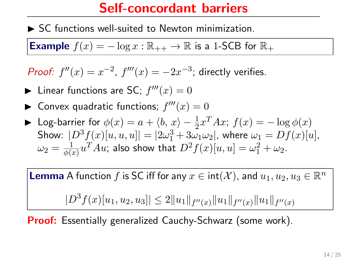$\triangleright$  SC functions well-suited to Newton minimization.

**Example**  $f(x) = -\log x : \mathbb{R}_{++} \to \mathbb{R}$  is a 1-SCB for  $\mathbb{R}_+$ 

*Proof:*  $f''(x) = x^{-2}$ ,  $f'''(x) = -2x^{-3}$ ; directly verifies.

- inear functions are SC;  $f'''(x) = 0$
- $\blacktriangleright$  Convex quadratic functions;  $f'''(x) = 0$
- ► Log-barrier for  $\phi(x) = a + \langle b, x \rangle \frac{1}{2}x^T Ax$ ;  $f(x) = -\log \phi(x)$ Show:  $|D^3 f(x)[u,u,u]| = |2\omega_1^3 + 3\omega_1\omega_2|$ , where  $\omega_1 = Df(x)[u],$  $\omega_2=\frac{1}{\phi(c)}$  $\frac{1}{\phi(x)}u^TAu$ ; also show that  $D^2f(x)[u,u]=\omega_1^2+\omega_2.$

**Lemma** A function  $f$  is SC iff for any  $x \in \text{int}(\mathcal{X})$ , and  $u_1, u_2, u_3 \in \mathbb{R}^n$ 

 $|D^3 f(x)[u_1, u_2, u_3]| \leq 2||u_1||_{f''(x)} ||u_1||_{f''(x)} ||u_1||_{f''(x)}$ 

**Proof:** Essentially generalized Cauchy-Schwarz (some work).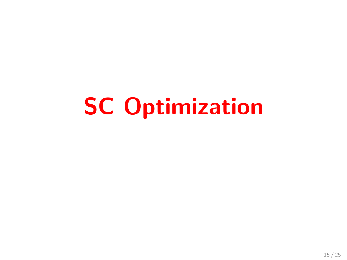# **SC Optimization**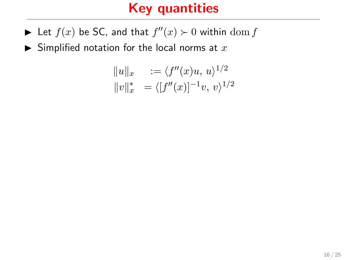# Key quantities

- $\blacktriangleright$  Let  $f(x)$  be SC, and that  $f''(x) \succ 0$  within  $\text{dom } f$
- $\blacktriangleright$  Simplified notation for the local norms at  $x$

$$
||u||_x
$$
 :=  $\langle f''(x)u, u \rangle^{1/2}$   
\n $||v||_x^* = \langle [f''(x)]^{-1}v, v \rangle^{1/2}$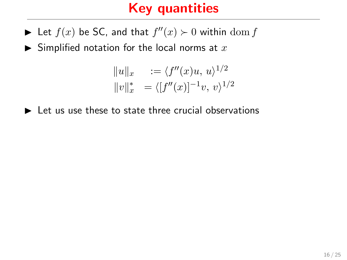# Key quantities

- $\blacktriangleright$  Let  $f(x)$  be SC, and that  $f''(x) \succ 0$  within  $\text{dom } f$
- $\blacktriangleright$  Simplified notation for the local norms at  $x$

$$
||u||_x
$$
 :=  $\langle f''(x)u, u \rangle^{1/2}$   
\n $||v||_x^* = \langle [f''(x)]^{-1}v, v \rangle^{1/2}$ 

 $\blacktriangleright$  Let us use these to state three crucial observations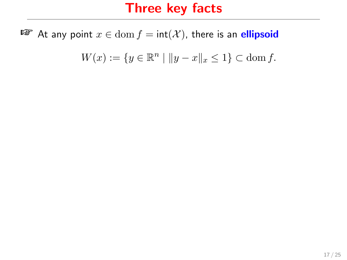## Three key facts

 $\mathbb{F}$  At any point  $x\in\mathrm{dom}\, f=\mathsf{int}(\mathcal{X})$ , there is an ellipsoid

 $W(x) := \{ y \in \mathbb{R}^n \mid ||y - x||_x \le 1 \} \subset \text{dom } f.$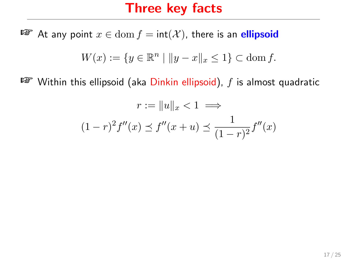## Three key facts

 $\mathbb{F}$  At any point  $x\in\mathrm{dom}\, f=\mathsf{int}(\mathcal{X})$ , there is an ellipsoid

$$
W(x) := \{ y \in \mathbb{R}^n \mid ||y - x||_x \le 1 \} \subset \text{dom } f.
$$

 $\mathbb{F}$  Within this ellipsoid (aka Dinkin ellipsoid),  $f$  is almost quadratic

$$
r := \|u\|_x < 1 \implies
$$
\n
$$
(1-r)^2 f''(x) \le f''(x+u) \le \frac{1}{(1-r)^2} f''(x)
$$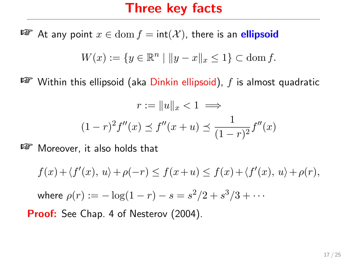## Three key facts

 $\mathbb{F}$  At any point  $x\in\mathrm{dom}\, f=\mathsf{int}(\mathcal{X})$ , there is an ellipsoid

$$
W(x) := \{ y \in \mathbb{R}^n \mid ||y - x||_x \le 1 \} \subset \text{dom } f.
$$

 $\mathbb{F}$  Within this ellipsoid (aka Dinkin ellipsoid),  $f$  is almost quadratic

$$
r := \|u\|_x < 1 \implies
$$
\n
$$
(1-r)^2 f''(x) \le f''(x+u) \le \frac{1}{(1-r)^2} f''(x)
$$

 $\mathbb{F}$  Moreover, it also holds that

 $f(x)+\langle f'(x), u\rangle+\rho(-r)\leq f(x+u)\leq f(x)+\langle f'(x), u\rangle+\rho(r),$ where  $\rho(r) := -\log(1-r) - s = s^2/2 + s^3/3 + \cdots$ **Proof:** See Chap. 4 of Nesterov (2004).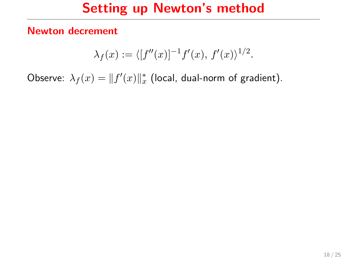# Setting up Newton's method

### Newton decrement

$$
\lambda_f(x) := \langle [f''(x)]^{-1} f'(x), f'(x) \rangle^{1/2}.
$$

Observe:  $\lambda_f(x) = ||f'(x)||^*_x$  (local, dual-norm of gradient).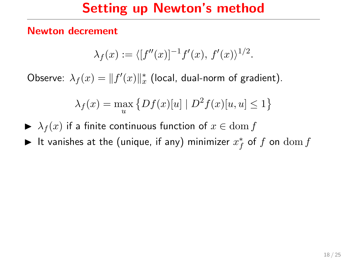# Setting up Newton's method

#### Newton decrement

$$
\lambda_f(x) := \langle [f''(x)]^{-1} f'(x), f'(x) \rangle^{1/2}.
$$

Observe:  $\lambda_f(x) = ||f'(x)||^*_x$  (local, dual-norm of gradient).

$$
\lambda_f(x) = \max_u \left\{ Df(x)[u] \mid D^2f(x)[u, u] \le 1 \right\}
$$

- $\triangleright$   $\lambda_f(x)$  if a finite continuous function of  $x \in \text{dom } f$
- ► It vanishes at the (unique, if any) minimizer  $x_f^*$  of  $f$  on  $\text{dom } f$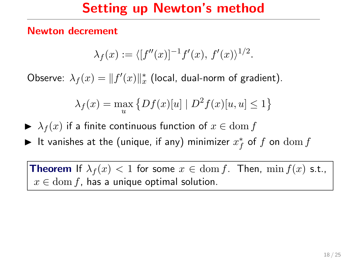### Newton decrement

$$
\lambda_f(x) := \langle [f''(x)]^{-1} f'(x), f'(x) \rangle^{1/2}.
$$

Observe:  $\lambda_f(x) = ||f'(x)||^*_x$  (local, dual-norm of gradient).

$$
\lambda_f(x) = \max_u \left\{ Df(x)[u] \mid D^2f(x)[u, u] \le 1 \right\}
$$

- $\triangleright$   $\lambda_f(x)$  if a finite continuous function of  $x \in \text{dom } f$
- ► It vanishes at the (unique, if any) minimizer  $x_f^*$  of  $f$  on  $\text{dom } f$

**Theorem** If  $\lambda_f(x) < 1$  for some  $x \in \text{dom } f$ . Then,  $\min f(x)$  s.t.,  $x \in$  dom f, has a unique optimal solution.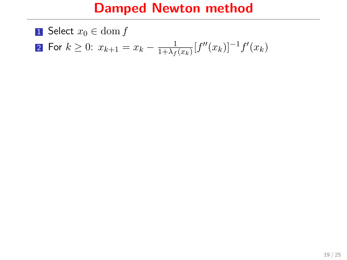1 Select  $x_0 \in \text{dom } f$ 

2 For 
$$
k \ge 0
$$
:  $x_{k+1} = x_k - \frac{1}{1 + \lambda_f(x_k)} [f''(x_k)]^{-1} f'(x_k)$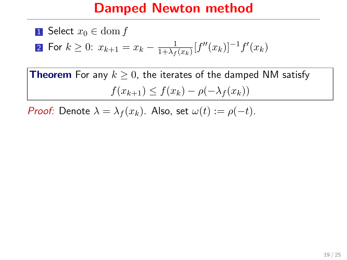1 Select  $x_0 \in \text{dom } f$ 

2 For 
$$
k \ge 0
$$
:  $x_{k+1} = x_k - \frac{1}{1 + \lambda_f(x_k)} [f''(x_k)]^{-1} f'(x_k)$ 

**Theorem** For any  $k \geq 0$ , the iterates of the damped NM satisfy  $f(x_{k+1}) \leq f(x_k) - \rho(-\lambda_f(x_k))$ 

*Proof:* Denote  $\lambda = \lambda_f(x_k)$ . Also, set  $\omega(t) := \rho(-t)$ .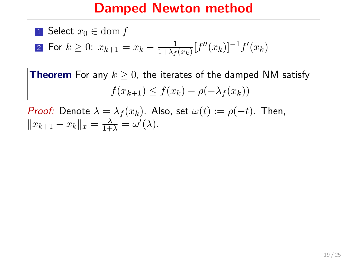1 Select  $x_0 \in \text{dom } f$ 

2 For 
$$
k \ge 0
$$
:  $x_{k+1} = x_k - \frac{1}{1 + \lambda_f(x_k)} [f''(x_k)]^{-1} f'(x_k)$ 

**Theorem** For any  $k \geq 0$ , the iterates of the damped NM satisfy  $f(x_{k+1}) \leq f(x_k) - \rho(-\lambda_f(x_k))$ 

*Proof:* Denote  $\lambda = \lambda_f(x_k)$ . Also, set  $\omega(t) := \rho(-t)$ . Then,  $||x_{k+1} - x_k||_x = \frac{\lambda}{1+\lambda} = \omega'(\lambda).$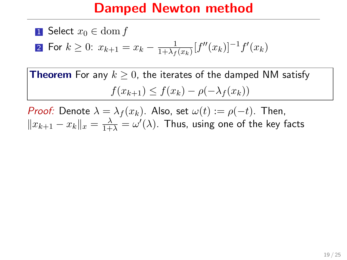1 Select  $x_0 \in \text{dom } f$ 

2 For 
$$
k \ge 0
$$
:  $x_{k+1} = x_k - \frac{1}{1 + \lambda_f(x_k)} [f''(x_k)]^{-1} f'(x_k)$ 

**Theorem** For any  $k \geq 0$ , the iterates of the damped NM satisfy  $f(x_{k+1}) \leq f(x_k) - \rho(-\lambda_f(x_k))$ 

*Proof:* Denote  $\lambda = \lambda_f(x_k)$ . Also, set  $\omega(t) := \rho(-t)$ . Then,  $||x_{k+1} - x_k||_x = \frac{\lambda}{1+\lambda} = \omega'(\lambda)$ . Thus, using one of the key facts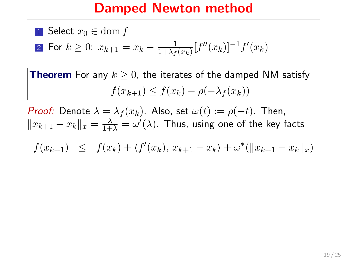1 Select  $x_0 \in \text{dom } f$ 

2 For 
$$
k \ge 0
$$
:  $x_{k+1} = x_k - \frac{1}{1 + \lambda_f(x_k)} [f''(x_k)]^{-1} f'(x_k)$ 

**Theorem** For any  $k \geq 0$ , the iterates of the damped NM satisfy  $f(x_{k+1}) \leq f(x_k) - \rho(-\lambda_f(x_k))$ 

*Proof:* Denote  $\lambda = \lambda_f(x_k)$ . Also, set  $\omega(t) := \rho(-t)$ . Then,  $||x_{k+1} - x_k||_x = \frac{\lambda}{1+\lambda} = \omega'(\lambda)$ . Thus, using one of the key facts  $f(x_{k+1}) \leq f(x_k) + \langle f'(x_k), x_{k+1} - x_k \rangle + \omega^* (\|x_{k+1} - x_k\|_x)$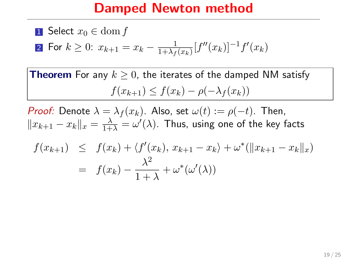1 Select  $x_0 \in \text{dom } f$ 

2 For 
$$
k \ge 0
$$
:  $x_{k+1} = x_k - \frac{1}{1 + \lambda_f(x_k)} [f''(x_k)]^{-1} f'(x_k)$ 

**Theorem** For any  $k \geq 0$ , the iterates of the damped NM satisfy  $f(x_{k+1}) \leq f(x_k) - \rho(-\lambda_f(x_k))$ 

*Proof:* Denote  $\lambda = \lambda_f(x_k)$ . Also, set  $\omega(t) := \rho(-t)$ . Then,  $||x_{k+1} - x_k||_x = \frac{\lambda}{1+\lambda} = \omega'(\lambda)$ . Thus, using one of the key facts  $f(x_{k+1}) \leq f(x_k) + \langle f'(x_k), x_{k+1} - x_k \rangle + \omega^* (\|x_{k+1} - x_k\|_x)$ 

$$
= f(x_k) - \frac{\lambda^2}{1+\lambda} + \omega^*(\omega'(\lambda))
$$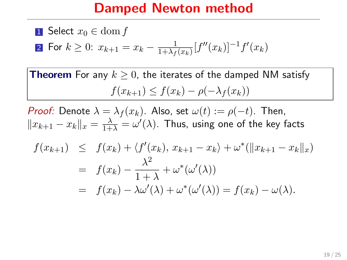1 Select  $x_0 \in \text{dom } f$ 

2 For 
$$
k \ge 0
$$
:  $x_{k+1} = x_k - \frac{1}{1 + \lambda_f(x_k)} [f''(x_k)]^{-1} f'(x_k)$ 

**Theorem** For any  $k \geq 0$ , the iterates of the damped NM satisfy  $f(x_{k+1}) \leq f(x_k) - \rho(-\lambda_f(x_k))$ 

*Proof:* Denote  $\lambda = \lambda_f(x_k)$ . Also, set  $\omega(t) := \rho(-t)$ . Then,  $||x_{k+1} - x_k||_x = \frac{\lambda}{1+\lambda} = \omega'(\lambda)$ . Thus, using one of the key facts

$$
f(x_{k+1}) \leq f(x_k) + \langle f'(x_k), x_{k+1} - x_k \rangle + \omega^* (||x_{k+1} - x_k||_x)
$$
  
= 
$$
f(x_k) - \frac{\lambda^2}{1 + \lambda} + \omega^* (\omega'(\lambda))
$$
  
= 
$$
f(x_k) - \lambda \omega'(\lambda) + \omega^* (\omega'(\lambda)) = f(x_k) - \omega(\lambda).
$$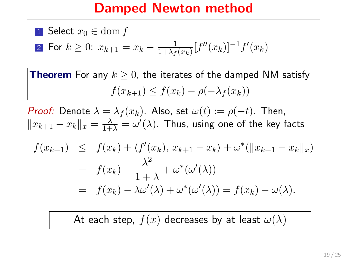1 Select  $x_0 \in \text{dom } f$ 

2 For 
$$
k \ge 0
$$
:  $x_{k+1} = x_k - \frac{1}{1 + \lambda_f(x_k)} [f''(x_k)]^{-1} f'(x_k)$ 

**Theorem** For any  $k \geq 0$ , the iterates of the damped NM satisfy  $f(x_{k+1}) \leq f(x_k) - \rho(-\lambda_f(x_k))$ 

*Proof:* Denote  $\lambda = \lambda_f(x_k)$ . Also, set  $\omega(t) := \rho(-t)$ . Then,  $||x_{k+1} - x_k||_x = \frac{\lambda}{1+\lambda} = \omega'(\lambda)$ . Thus, using one of the key facts

$$
f(x_{k+1}) \leq f(x_k) + \langle f'(x_k), x_{k+1} - x_k \rangle + \omega^* (||x_{k+1} - x_k||_x)
$$
  
=  $f(x_k) - \frac{\lambda^2}{1 + \lambda} + \omega^* (\omega'(\lambda))$   
=  $f(x_k) - \lambda \omega'(\lambda) + \omega^* (\omega'(\lambda)) = f(x_k) - \omega(\lambda).$ 

At each step,  $f(x)$  decreases by at least  $\omega(\lambda)$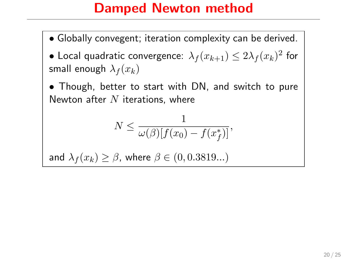# Damped Newton method

• Globally convegent; iteration complexity can be derived.

 $\bullet$  Local quadratic convergence:  $\lambda_f(x_{k+1}) \leq 2\lambda_f(x_k)^2$  for small enough  $\lambda_f(x_k)$ 

• Though, better to start with DN, and switch to pure Newton after  $N$  iterations, where

$$
N \le \frac{1}{\omega(\beta)[f(x_0) - f(x_f^*)]},
$$

and  $\lambda_f(x_k) \geq \beta$ , where  $\beta \in (0, 0.3819...)$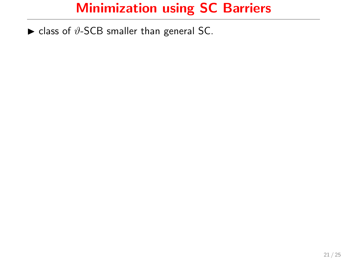$\blacktriangleright$  class of  $\vartheta$ -SCB smaller than general SC.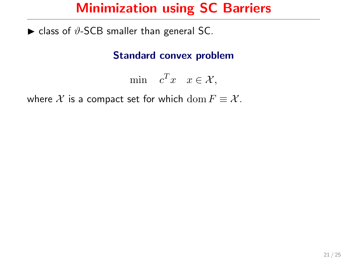$\triangleright$  class of  $\vartheta$ -SCB smaller than general SC.

Standard convex problem

min  $c^T x \quad x \in \mathcal{X},$ 

where X is a compact set for which  $\text{dom } F \equiv \mathcal{X}$ .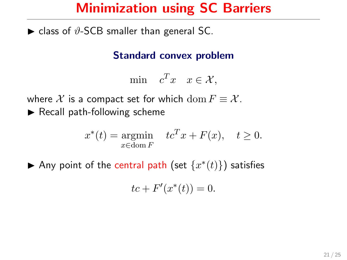$\triangleright$  class of  $\vartheta$ -SCB smaller than general SC.

#### Standard convex problem

min  $c^T x \quad x \in \mathcal{X},$ 

where X is a compact set for which  $\text{dom } F \equiv \mathcal{X}$ .

 $\blacktriangleright$  Recall path-following scheme

$$
x^*(t) = \underset{x \in \text{dom } F}{\text{argmin}} \quad t c^T x + F(x), \quad t \ge 0.
$$

Any point of the central path (set  $\{x^*(t)\}$ ) satisfies

$$
tc + F'(x^*(t)) = 0.
$$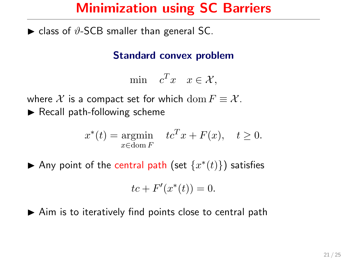$\triangleright$  class of  $\vartheta$ -SCB smaller than general SC.

#### Standard convex problem

min  $c^T x \quad x \in \mathcal{X},$ 

where X is a compact set for which  $\text{dom } F \equiv \mathcal{X}$ .

 $\blacktriangleright$  Recall path-following scheme

$$
x^*(t) = \underset{x \in \text{dom } F}{\text{argmin}} \quad t c^T x + F(x), \quad t \ge 0.
$$

Any point of the central path (set  $\{x^*(t)\}$ ) satisfies

$$
tc + F'(x^*(t)) = 0.
$$

 $\triangleright$  Aim is to iteratively find points close to central path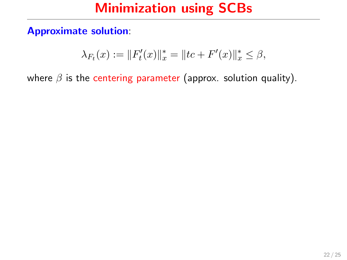# Minimization using SCBs

Approximate solution:

$$
\lambda_{F_t}(x) := \|F'_t(x)\|_x^* = \|tc + F'(x)\|_x^* \le \beta,
$$

where  $\beta$  is the centering parameter (approx. solution quality).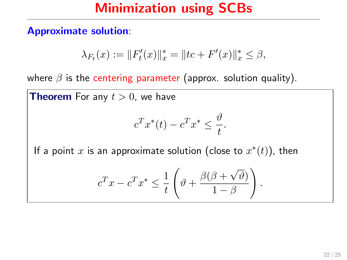Approximate solution:

$$
\lambda_{F_t}(x) := ||F'_t(x)||_x^* = ||tc + F'(x)||_x^* \le \beta,
$$

where  $\beta$  is the centering parameter (approx. solution quality).

**Theorem** For any  $t > 0$ , we have  $c^T x^*(t) - c^T x^* \leq \frac{\vartheta}{t}$  $\frac{c}{t}$ . If a point  $x$  is an approximate solution (close to  $x^*(t)$ ), then  $c^T x - c^T x^* \leq \frac{1}{t}$ t  $\sqrt{ }$  $\vartheta + \frac{\beta(\beta +)}{1}$ √  $\vartheta)$  $1 - \beta$  $\setminus$ .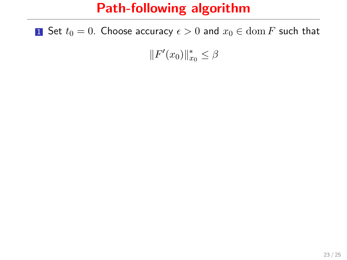1 Set  $t_0 = 0$ . Choose accuracy  $\epsilon > 0$  and  $x_0 \in \text{dom } F$  such that

 $||F'(x_0)||_{x_0}^* \leq \beta$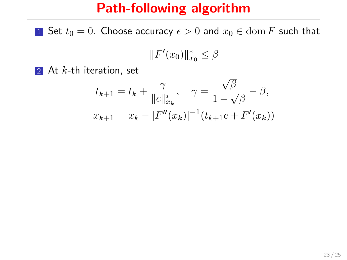1 Set  $t_0 = 0$ . Choose accuracy  $\epsilon > 0$  and  $x_0 \in \text{dom } F$  such that

 $||F'(x_0)||_{x_0}^* \leq \beta$ 

2 At  $k$ -th iteration, set

$$
t_{k+1} = t_k + \frac{\gamma}{\|c\|_{x_k}^*}, \quad \gamma = \frac{\sqrt{\beta}}{1 - \sqrt{\beta}} - \beta,
$$
  

$$
x_{k+1} = x_k - [F''(x_k)]^{-1}(t_{k+1}c + F'(x_k))
$$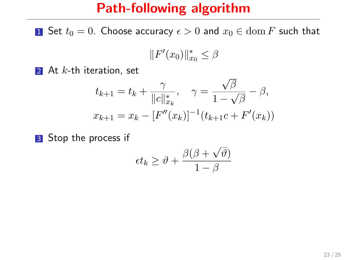1 Set  $t_0 = 0$ . Choose accuracy  $\epsilon > 0$  and  $x_0 \in \text{dom } F$  such that

 $||F'(x_0)||_{x_0}^* \leq \beta$ 

2 At  $k$ -th iteration, set

$$
t_{k+1} = t_k + \frac{\gamma}{\|c\|_{x_k}^*}, \quad \gamma = \frac{\sqrt{\beta}}{1 - \sqrt{\beta}} - \beta,
$$
  

$$
x_{k+1} = x_k - [F''(x_k)]^{-1}(t_{k+1}c + F'(x_k))
$$

3 Stop the process if

$$
\epsilon t_k \ge \vartheta + \frac{\beta(\beta + \sqrt{\vartheta})}{1 - \beta}
$$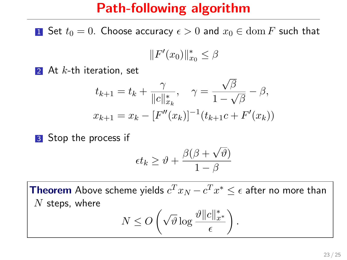1 Set  $t_0 = 0$ . Choose accuracy  $\epsilon > 0$  and  $x_0 \in \text{dom } F$  such that

 $||F'(x_0)||_{x_0}^* \leq \beta$ 

2 At  $k$ -th iteration, set

$$
t_{k+1} = t_k + \frac{\gamma}{\|c\|_{x_k}^*}, \quad \gamma = \frac{\sqrt{\beta}}{1 - \sqrt{\beta}} - \beta,
$$
  

$$
x_{k+1} = x_k - [F''(x_k)]^{-1}(t_{k+1}c + F'(x_k))
$$

**3** Stop the process if

$$
\epsilon t_k \ge \vartheta + \frac{\beta(\beta + \sqrt{\vartheta})}{1 - \beta}
$$

**Theorem** Above scheme yields  $c^T x_N - c^T x^* \leq \epsilon$  after no more than  $N$  steps, where

$$
N \le O\left(\sqrt{\vartheta} \log \frac{\vartheta ||c||_{x^*}^*}{\epsilon}\right).
$$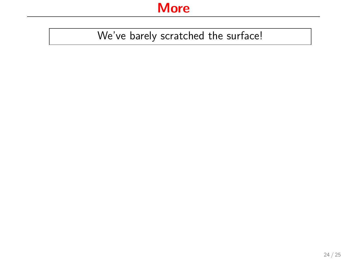### **More**

#### We've barely scratched the surface!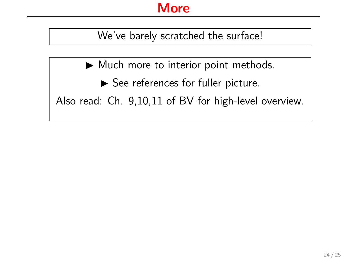#### **More**

We've barely scratched the surface!

 $\blacktriangleright$  Much more to interior point methods.

 $\blacktriangleright$  See references for fuller picture.

Also read: Ch. 9,10,11 of BV for high-level overview.